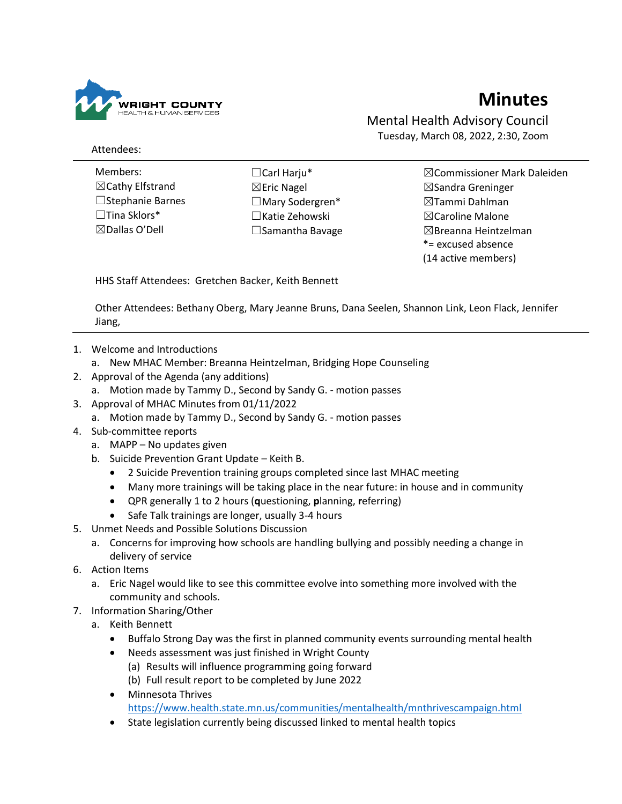

## **Minutes**

Mental Health Advisory Council Tuesday, March 08, 2022, 2:30, Zoom

Attendees:

- Members: ☒Cathy Elfstrand ☐Stephanie Barnes ☐Tina Sklors\* ☒Dallas O'Dell
- ☐Carl Harju\* ☒Eric Nagel ☐Mary Sodergren\* ☐Katie Zehowski ☐Samantha Bavage
- ☒Commissioner Mark Daleiden ☒Sandra Greninger ☒Tammi Dahlman ☒Caroline Malone  $\boxtimes$ Breanna Heintzelman \*= excused absence (14 active members)

HHS Staff Attendees: Gretchen Backer, Keith Bennett

Other Attendees: Bethany Oberg, Mary Jeanne Bruns, Dana Seelen, Shannon Link, Leon Flack, Jennifer Jiang,

- 1. Welcome and Introductions
	- a. New MHAC Member: Breanna Heintzelman, Bridging Hope Counseling
- 2. Approval of the Agenda (any additions)
	- a. Motion made by Tammy D., Second by Sandy G. motion passes
- 3. Approval of MHAC Minutes from 01/11/2022
	- a. Motion made by Tammy D., Second by Sandy G. motion passes
- 4. Sub-committee reports
	- a. MAPP No updates given
	- b. Suicide Prevention Grant Update Keith B.
		- 2 Suicide Prevention training groups completed since last MHAC meeting
		- Many more trainings will be taking place in the near future: in house and in community
		- QPR generally 1 to 2 hours (**q**uestioning, **p**lanning, **r**eferring)
		- Safe Talk trainings are longer, usually 3-4 hours
- 5. Unmet Needs and Possible Solutions Discussion
	- a. Concerns for improving how schools are handling bullying and possibly needing a change in delivery of service
- 6. Action Items
	- a. Eric Nagel would like to see this committee evolve into something more involved with the community and schools.
- 7. Information Sharing/Other
	- a. Keith Bennett
		- Buffalo Strong Day was the first in planned community events surrounding mental health
		- Needs assessment was just finished in Wright County
			- (a) Results will influence programming going forward
			- (b) Full result report to be completed by June 2022
		- Minnesota Thrives <https://www.health.state.mn.us/communities/mentalhealth/mnthrivescampaign.html>
		- State legislation currently being discussed linked to mental health topics